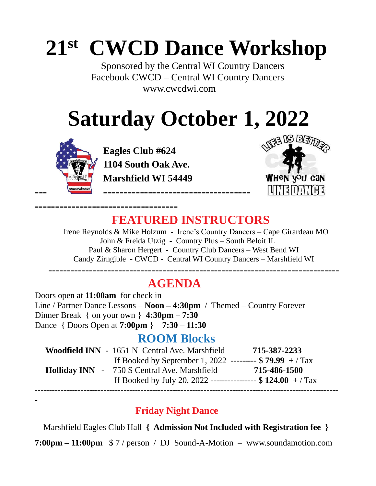# **21st CWCD Dance Workshop**

Sponsored by the Central WI Country Dancers Facebook CWCD – Central WI Country Dancers [www.cwcdwi.com](http://www.cwcdwi.com/)

# **Saturday October 1, 2022**



**-**

**-----------------------------------**

 **Eagles Club #624 1104 South Oak Ave. Marshfield WI 54449** 



### **FEATURED INSTRUCTORS**

 Irene Reynolds & Mike Holzum - Irene's Country Dancers – Cape Girardeau MO John & Freida Utzig - Country Plus – South Beloit IL Paul & Sharon Hergert - Country Club Dancers – West Bend WI Candy Zirngible - CWCD - Central WI Country Dancers – Marshfield WI

-------------------------------------------------------------------------------

### **AGENDA**

Doors open at **11:00am** for check in Line / Partner Dance Lessons – **Noon – 4:30pm** / Themed – Country Forever Dinner Break { on your own } **4:30pm – 7:30**  Dance { Doors Open at **7:00pm** } **7:30 – 11:30**

#### **ROOM Blocks**

| Woodfield INN - 1651 N Central Ave. Marshfield               | 715-387-2233 |
|--------------------------------------------------------------|--------------|
| If Booked by September 1, 2022 --------- $$79.99 + / Tax$    |              |
| <b>Holliday INN</b> - 750 S Central Ave. Marshfield          | 715-486-1500 |
| If Booked by July 20, 2022 ---------------- $$ 124.00 + Tax$ |              |
|                                                              |              |

#### **Friday Night Dance**

Marshfield Eagles Club Hall **{ Admission Not Included with Registration fee }**

**7:00pm – 11:00pm** \$ 7 / person / DJ Sound-A-Motion – [www.soundamotion.co](http://www.soundamotion.com/)m